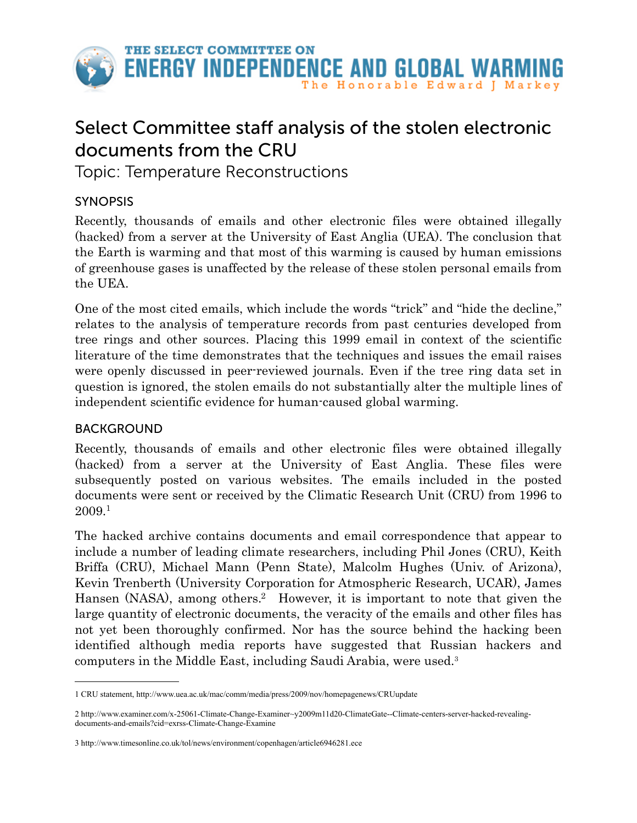

# Select Committee staff analysis of the stolen electronic documents from the CRU

Topic: Temperature Reconstructions

# SYNOPSIS

Recently, thousands of emails and other electronic files were obtained illegally (hacked) from a server at the University of East Anglia (UEA). The conclusion that the Earth is warming and that most of this warming is caused by human emissions of greenhouse gases is unaffected by the release of these stolen personal emails from the UEA.

One of the most cited emails, which include the words "trick" and "hide the decline," relates to the analysis of temperature records from past centuries developed from tree rings and other sources. Placing this 1999 email in context of the scientific literature of the time demonstrates that the techniques and issues the email raises were openly discussed in peer-reviewed journals. Even if the tree ring data set in question is ignored, the stolen emails do not substantially alter the multiple lines of independent scientific evidence for human-caused global warming.

## BACKGROUND

Recently, thousands of emails and other electronic files were obtained illegally (hacked) from a server at the University of East Anglia. These files were subsequently posted on various websites. The emails included in the posted documents were sent or received by the Climatic Research Unit (CRU) from 1996 to 2009[.1](#page-0-0)

The hacked archive contains documents and email correspondence that appear to include a number of leading climate researchers, including Phil Jones (CRU), Keith Briffa (CRU), Michael Mann (Penn State), Malcolm Hughes (Univ. of Arizona), Kevin Trenberth (University Corporation for Atmospheric Research, UCAR), James Hansen (NASA), among others. [2](#page-0-1) However, it is important to note that given the large quantity of electronic documents, the veracity of the emails and other files has not yet been thoroughly confirmed. Nor has the source behind the hacking been identified although media reports have suggested that Russian hackers and computers in the Middle East, including Saudi Arabia, were used.[3](#page-0-2)

<span id="page-0-0"></span><sup>1</sup> CRU statement, http://www.uea.ac.uk/mac/comm/media/press/2009/nov/homepagenews/CRUupdate

<span id="page-0-1"></span><sup>2</sup> [http://www.examiner.com/x-25061-Climate-Change-Examiner~y2009m11d20-ClimateGate--Climate-centers-server-hacked-revealing](http://www.examiner.com/x-25061-Climate-Change-Examiner~y2009m11d20-ClimateGate--Climate-centers-server-hacked-revealing-documents-and-emails?cid=exrss-Climate-Change-Examine)[documents-and-emails?cid=exrss-Climate-Change-Examine](http://www.examiner.com/x-25061-Climate-Change-Examiner~y2009m11d20-ClimateGate--Climate-centers-server-hacked-revealing-documents-and-emails?cid=exrss-Climate-Change-Examine)

<span id="page-0-2"></span><sup>3</sup> http://www.timesonline.co.uk/tol/news/environment/copenhagen/article6946281.ece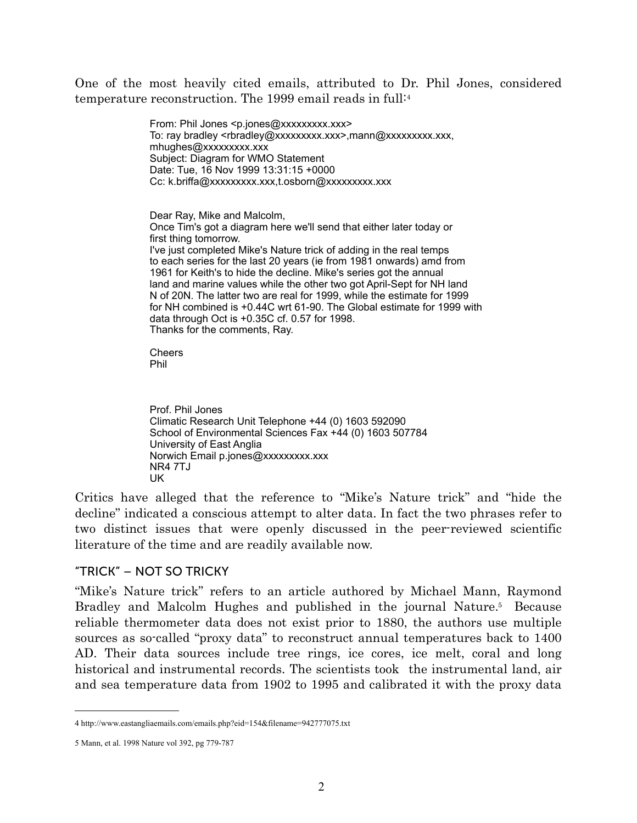One of the most heavily cited emails, attributed to Dr. Phil Jones, considered temperature reconstruction. The 1999 email reads in full:[4](#page-1-0)

> From: Phil Jones <p.jones@xxxxxxxxx.xxx> To: ray bradley <rbradley@xxxxxxxxxx.xxx>,mann@xxxxxxxxx.xxx, mhughes@xxxxxxxxx.xxx Subject: Diagram for WMO Statement Date: Tue, 16 Nov 1999 13:31:15 +0000 Cc: k.briffa@xxxxxxxxx.xxx,t.osborn@xxxxxxxxx.xxx

Dear Ray, Mike and Malcolm, Once Tim's got a diagram here we'll send that either later today or first thing tomorrow. I've just completed Mike's Nature trick of adding in the real temps to each series for the last 20 years (ie from 1981 onwards) amd from 1961 for Keith's to hide the decline. Mike's series got the annual land and marine values while the other two got April-Sept for NH land N of 20N. The latter two are real for 1999, while the estimate for 1999 for NH combined is +0.44C wrt 61-90. The Global estimate for 1999 with data through Oct is +0.35C cf. 0.57 for 1998. Thanks for the comments, Ray.

**Cheers** Phil

Prof. Phil Jones Climatic Research Unit Telephone +44 (0) 1603 592090 School of Environmental Sciences Fax +44 (0) 1603 507784 University of East Anglia Norwich Email p.jones@xxxxxxxxx.xxx NR4 7TJ UK

Critics have alleged that the reference to "Mike's Nature trick" and "hide the decline" indicated a conscious attempt to alter data. In fact the two phrases refer to two distinct issues that were openly discussed in the peer-reviewed scientific literature of the time and are readily available now.

#### "TRICK" – NOT SO TRICKY

"Mike's Nature trick" refers to an article authored by Michael Mann, Raymond Bradley and Malcolm Hughes and published in the journal Nature[.5](#page-1-1) Because reliable thermometer data does not exist prior to 1880, the authors use multiple sources as so-called "proxy data" to reconstruct annual temperatures back to 1400 AD. Their data sources include tree rings, ice cores, ice melt, coral and long historical and instrumental records. The scientists took the instrumental land, air and sea temperature data from 1902 to 1995 and calibrated it with the proxy data

<span id="page-1-0"></span><sup>4</sup> http://www.eastangliaemails.com/emails.php?eid=154&filename=942777075.txt

<span id="page-1-1"></span><sup>5</sup> Mann, et al. 1998 Nature vol 392, pg 779-787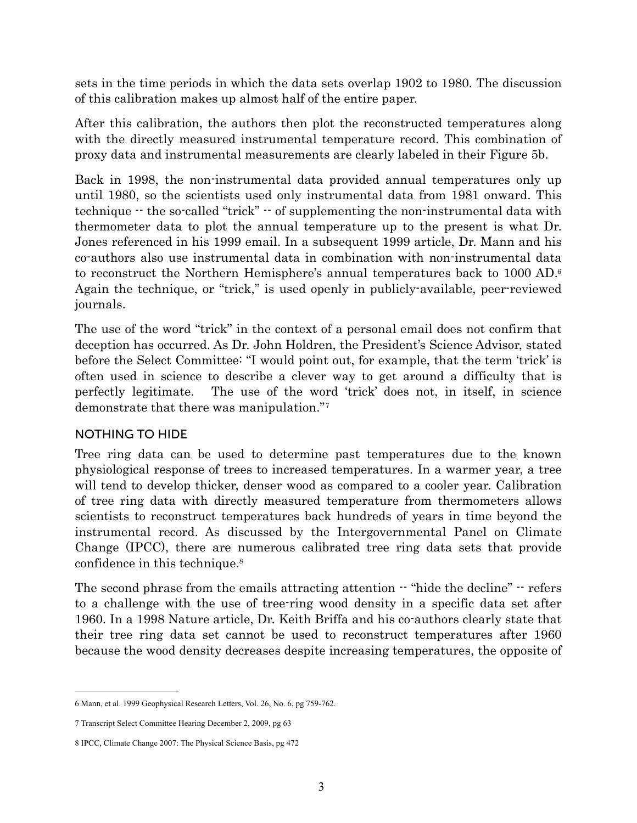sets in the time periods in which the data sets overlap 1902 to 1980. The discussion of this calibration makes up almost half of the entire paper.

After this calibration, the authors then plot the reconstructed temperatures along with the directly measured instrumental temperature record. This combination of proxy data and instrumental measurements are clearly labeled in their Figure 5b.

Back in 1998, the non-instrumental data provided annual temperatures only up until 1980, so the scientists used only instrumental data from 1981 onward. This technique -- the so-called "trick" -- of supplementing the non-instrumental data with thermometer data to plot the annual temperature up to the present is what Dr. Jones referenced in his 1999 email. In a subsequent 1999 article, Dr. Mann and his co-authors also use instrumental data in combination with non-instrumental data to reconstruct the Northern Hemisphere's annual temperatures back to 1000 AD[.6](#page-2-0) Again the technique, or "trick," is used openly in publicly-available, peer-reviewed journals.

The use of the word "trick" in the context of a personal email does not confirm that deception has occurred. As Dr. John Holdren, the President's Science Advisor, stated before the Select Committee: "I would point out, for example, that the term 'trick' is often used in science to describe a clever way to get around a difficulty that is perfectly legitimate. The use of the word 'trick' does not, in itself, in science demonstrate that there was manipulation."[7](#page-2-1)

## NOTHING TO HIDE

Tree ring data can be used to determine past temperatures due to the known physiological response of trees to increased temperatures. In a warmer year, a tree will tend to develop thicker, denser wood as compared to a cooler year. Calibration of tree ring data with directly measured temperature from thermometers allows scientists to reconstruct temperatures back hundreds of years in time beyond the instrumental record. As discussed by the Intergovernmental Panel on Climate Change (IPCC), there are numerous calibrated tree ring data sets that provide confidence in this technique.<sup>8</sup>

The second phrase from the emails attracting attention  $-$  "hide the decline"  $-$  refers to a challenge with the use of tree-ring wood density in a specific data set after 1960. In a 1998 Nature article, Dr. Keith Briffa and his co-authors clearly state that their tree ring data set cannot be used to reconstruct temperatures after 1960 because the wood density decreases despite increasing temperatures, the opposite of

<span id="page-2-0"></span><sup>6</sup> Mann, et al. 1999 Geophysical Research Letters, Vol. 26, No. 6, pg 759-762.

<span id="page-2-1"></span><sup>7</sup> Transcript Select Committee Hearing December 2, 2009, pg 63

<span id="page-2-2"></span><sup>8</sup> IPCC, Climate Change 2007: The Physical Science Basis, pg 472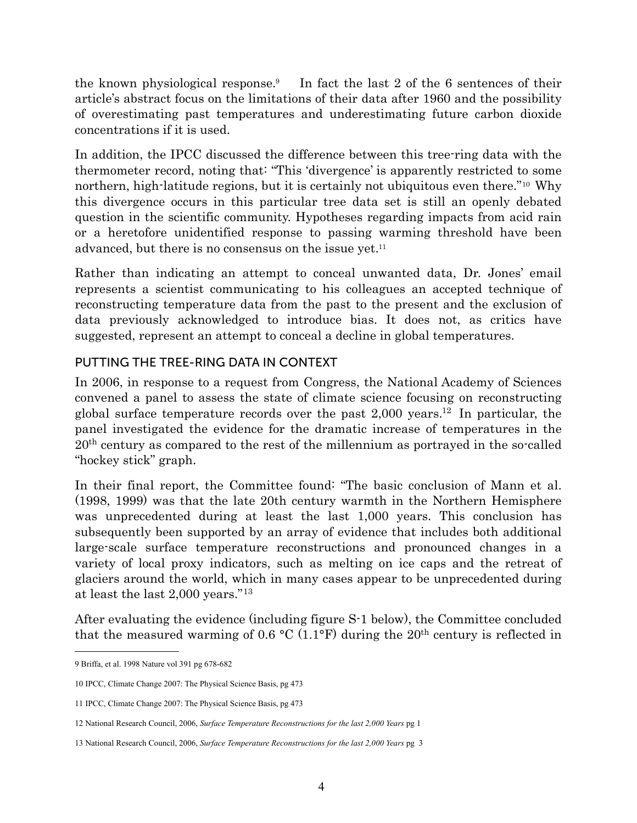the known physiological response[.9](#page-3-0) In fact the last 2 of the 6 sentences of their article's abstract focus on the limitations of their data after 1960 and the possibility of overestimating past temperatures and underestimating future carbon dioxide concentrations if it is used.

In addition, the IPCC discussed the difference between this tree-ring data with the thermometer record, noting that: "This 'divergence' is apparently restricted to some northern, high-latitude regions, but it is certainly not ubiquitous even there."[10](#page-3-1) Why this divergence occurs in this particular tree data set is still an openly debated question in the scientific community. Hypotheses regarding impacts from acid rain or a heretofore unidentified response to passing warming threshold have been advanced, but there is no consensus on the issue yet.<sup>11</sup>

Rather than indicating an attempt to conceal unwanted data, Dr. Jones' email represents a scientist communicating to his colleagues an accepted technique of reconstructing temperature data from the past to the present and the exclusion of data previously acknowledged to introduce bias. It does not, as critics have suggested, represent an attempt to conceal a decline in global temperatures.

## PUTTING THE TREE-RING DATA IN CONTEXT

In 2006, in response to a request from Congress, the National Academy of Sciences convened a panel to assess the state of climate science focusing on reconstructing global surface temperature records over the past  $2,000$  years.<sup>12</sup> In particular, the panel investigated the evidence for the dramatic increase of temperatures in the 20th century as compared to the rest of the millennium as portrayed in the so-called "hockey stick" graph.

In their final report, the Committee found: "The basic conclusion of Mann et al. (1998, 1999) was that the late 20th century warmth in the Northern Hemisphere was unprecedented during at least the last  $1,000$  years. This conclusion has subsequently been supported by an array of evidence that includes both additional large-scale surface temperature reconstructions and pronounced changes in a variety of local proxy indicators, such as melting on ice caps and the retreat of glaciers around the world, which in many cases appear to be unprecedented during at least the last 2,000 years."[13](#page-3-4)

After evaluating the evidence (including figure S-1 below), the Committee concluded that the measured warming of 0.6  $\rm{^{\circ}C}$  (1.1 $\rm{^{\circ}F}$ ) during the 20<sup>th</sup> century is reflected in

<span id="page-3-0"></span><sup>9</sup> Briffa, et al. 1998 Nature vol 391 pg 678-682

<span id="page-3-1"></span><sup>10</sup> IPCC, Climate Change 2007: The Physical Science Basis, pg 473

<span id="page-3-2"></span><sup>11</sup> IPCC, Climate Change 2007: The Physical Science Basis, pg 473

<span id="page-3-3"></span><sup>12</sup> National Research Council, 2006, *Surface Temperature Reconstructions for the last 2,000 Years* pg 1

<span id="page-3-4"></span><sup>13</sup> National Research Council, 2006, *Surface Temperature Reconstructions for the last 2,000 Years* pg 3